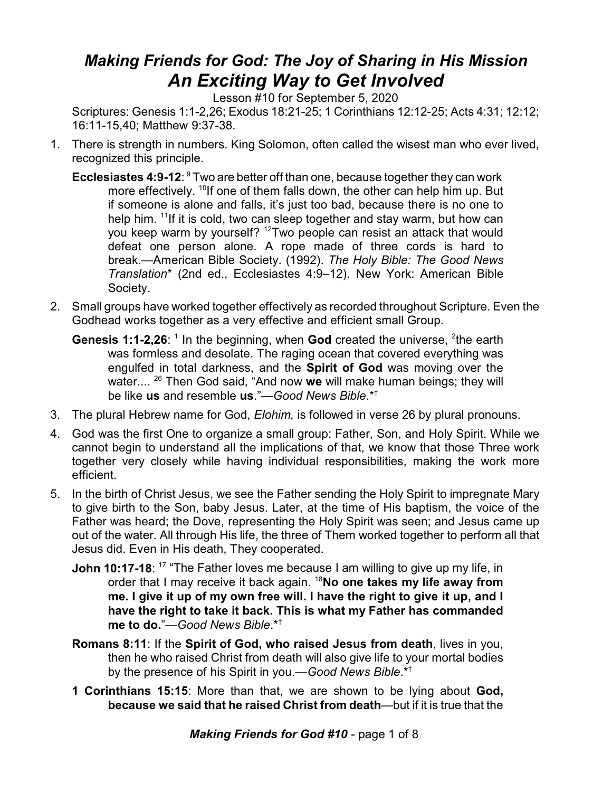## *Making Friends for God: The Joy of Sharing in His Mission An Exciting Way to Get Involved*

Lesson #10 for September 5, 2020

Scriptures: Genesis 1:1-2,26; Exodus 18:21-25; 1 Corinthians 12:12-25; Acts 4:31; 12:12; 16:11-15,40; Matthew 9:37-38.

- 1. There is strength in numbers. King Solomon, often called the wisest man who ever lived, recognized this principle.
	- **Ecclesiastes 4:9-12:** <sup>9</sup> Two are better off than one, because together they can work more effectively. <sup>10</sup>lf one of them falls down, the other can help him up. But if someone is alone and falls, it's just too bad, because there is no one to help him. <sup>11</sup>If it is cold, two can sleep together and stay warm, but how can you keep warm by yourself? <sup>12</sup>Two people can resist an attack that would defeat one person alone. A rope made of three cords is hard to break.—American Bible Society. (1992). *The Holy Bible: The Good News Translation*\* (2nd ed., Ecclesiastes 4:9–12). New York: American Bible Society.
- 2. Small groups have worked together effectively as recorded throughout Scripture. Even the Godhead works together as a very effective and efficient small Group.
	- **Genesis 1:1-2,26**: <sup>1</sup> In the beginning, when **God** created the universe, <sup>2</sup>the earth was formless and desolate. The raging ocean that covered everything was engulfed in total darkness, and the **Spirit of God** was moving over the water.... <sup>26</sup> Then God said, "And now **we** will make human beings; they will be like **us** and resemble **us**."—*Good News Bible*.\*†
- 3. The plural Hebrew name for God, *Elohim,* is followed in verse 26 by plural pronouns.
- 4. God was the first One to organize a small group: Father, Son, and Holy Spirit. While we cannot begin to understand all the implications of that, we know that those Three work together very closely while having individual responsibilities, making the work more efficient.
- 5. In the birth of Christ Jesus, we see the Father sending the Holy Spirit to impregnate Mary to give birth to the Son, baby Jesus. Later, at the time of His baptism, the voice of the Father was heard; the Dove, representing the Holy Spirit was seen; and Jesus came up out of the water. All through His life, the three of Them worked together to perform all that Jesus did. Even in His death, They cooperated.
	- **John 10:17-18**: <sup>17</sup> "The Father loves me because I am willing to give up my life, in order that I may receive it back again. <sup>18</sup>**No one takes my life away from me. I give it up of my own free will. I have the right to give it up, and I have the right to take it back. This is what my Father has commanded me to do.**"—*Good News Bible*.\*†
	- **Romans 8:11**: If the **Spirit of God, who raised Jesus from death**, lives in you, then he who raised Christ from death will also give life to your mortal bodies by the presence of his Spirit in you.—*Good News Bible*.\*†
	- **1 Corinthians 15:15**: More than that, we are shown to be lying about **God, because we said that he raised Christ from death**—but if it is true that the

*Making Friends for God #10* - page 1 of 8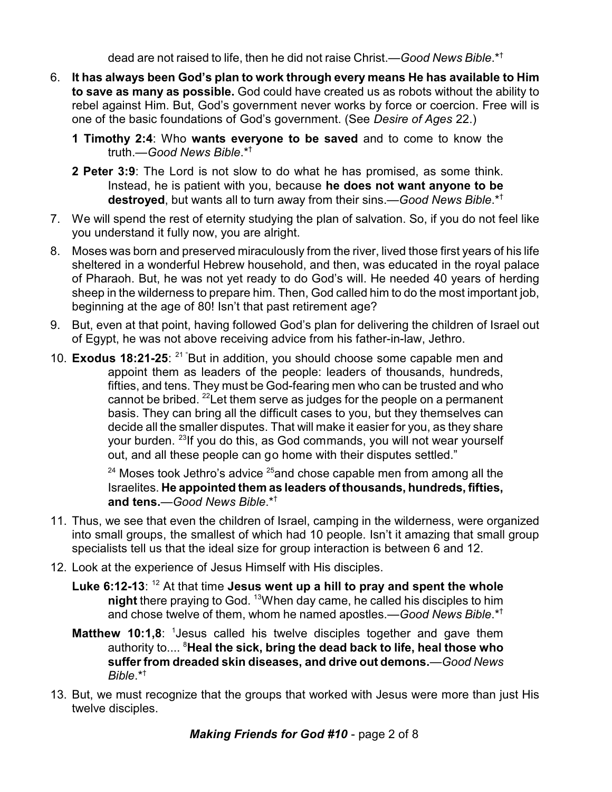dead are not raised to life, then he did not raise Christ.—*Good News Bible*.\*†

- 6. **It has always been God's plan to work through every means He has available to Him to save as many as possible.** God could have created us as robots without the ability to rebel against Him. But, God's government never works by force or coercion. Free will is one of the basic foundations of God's government. (See *Desire of Ages* 22.)
	- **1 Timothy 2:4**: Who **wants everyone to be saved** and to come to know the truth.—*Good News Bible*.\*†
	- **2 Peter 3:9**: The Lord is not slow to do what he has promised, as some think. Instead, he is patient with you, because **he does not want anyone to be destroyed**, but wants all to turn away from their sins.—*Good News Bible*.\*†
- 7. We will spend the rest of eternity studying the plan of salvation. So, if you do not feel like you understand it fully now, you are alright.
- 8. Moses was born and preserved miraculously from the river, lived those first years of his life sheltered in a wonderful Hebrew household, and then, was educated in the royal palace of Pharaoh. But, he was not yet ready to do God's will. He needed 40 years of herding sheep in the wilderness to prepare him. Then, God called him to do the most important job, beginning at the age of 80! Isn't that past retirement age?
- 9. But, even at that point, having followed God's plan for delivering the children of Israel out of Egypt, he was not above receiving advice from his father-in-law, Jethro.
- 10. **Exodus 18:21-25**: <sup>21</sup> "But in addition, you should choose some capable men and appoint them as leaders of the people: leaders of thousands, hundreds, fifties, and tens. They must be God-fearing men who can be trusted and who cannot be bribed. <sup>22</sup>Let them serve as judges for the people on a permanent basis. They can bring all the difficult cases to you, but they themselves can decide all the smaller disputes. That will make it easier for you, as they share your burden. <sup>23</sup>lf you do this, as God commands, you will not wear yourself out, and all these people can go home with their disputes settled."

 $^{24}$  Moses took Jethro's advice  $^{25}$ and chose capable men from among all the Israelites. **He appointed them as leaders of thousands, hundreds, fifties, and tens.**—*Good News Bible*.\*†

- 11. Thus, we see that even the children of Israel, camping in the wilderness, were organized into small groups, the smallest of which had 10 people. Isn't it amazing that small group specialists tell us that the ideal size for group interaction is between 6 and 12.
- 12. Look at the experience of Jesus Himself with His disciples.
	- **Luke 6:12-13**: <sup>12</sup> At that time **Jesus went up a hill to pray and spent the whole night** there praying to God. <sup>13</sup>When day came, he called his disciples to him and chose twelve of them, whom he named apostles.—*Good News Bible*.\*†
	- **Matthew 10:1,8**: <sup>1</sup> Jesus called his twelve disciples together and gave them authority to.... <sup>8</sup>**Heal the sick, bring the dead back to life, heal those who suffer from dreaded skin diseases, and drive out demons.**—*Good News Bible*.\*†
- 13. But, we must recognize that the groups that worked with Jesus were more than just His twelve disciples.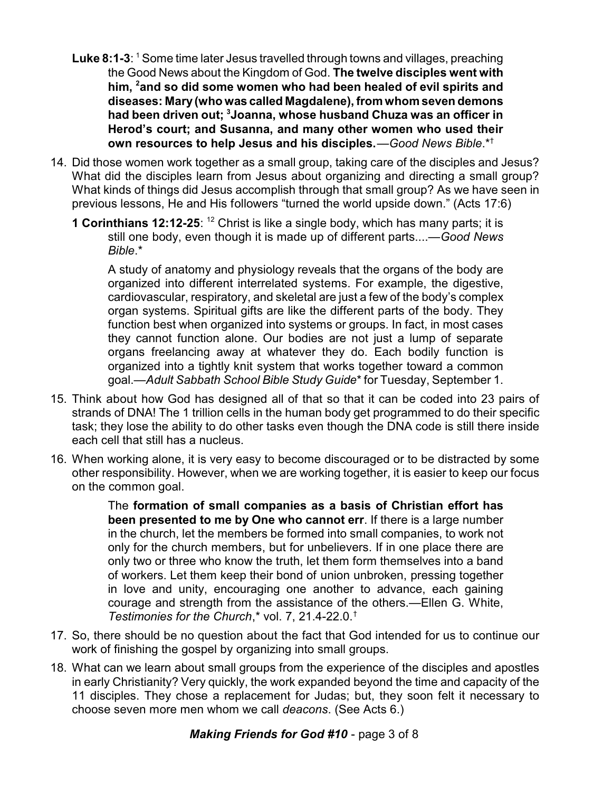- Luke 8:1-3: <sup>1</sup> Some time later Jesus travelled through towns and villages, preaching the Good News about the Kingdom of God. **The twelve disciples went with him, <sup>2</sup> and so did some women who had been healed of evil spirits and diseases: Mary(who was called Magdalene), from whom seven demons had been driven out; <sup>3</sup> Joanna, whose husband Chuza was an officer in Herod's court; and Susanna, and many other women who used their own resources to help Jesus and his disciples.**—*Good News Bible*.\*†
- 14. Did those women work together as a small group, taking care of the disciples and Jesus? What did the disciples learn from Jesus about organizing and directing a small group? What kinds of things did Jesus accomplish through that small group? As we have seen in previous lessons, He and His followers "turned the world upside down." (Acts 17:6)
	- **1 Corinthians 12:12-25:** <sup>12</sup> Christ is like a single body, which has many parts; it is still one body, even though it is made up of different parts....—*Good News Bible*.\*

A study of anatomy and physiology reveals that the organs of the body are organized into different interrelated systems. For example, the digestive, cardiovascular, respiratory, and skeletal are just a few of the body's complex organ systems. Spiritual gifts are like the different parts of the body. They function best when organized into systems or groups. In fact, in most cases they cannot function alone. Our bodies are not just a lump of separate organs freelancing away at whatever they do. Each bodily function is organized into a tightly knit system that works together toward a common goal.—*Adult Sabbath School Bible Study Guide*\* for Tuesday, September 1.

- 15. Think about how God has designed all of that so that it can be coded into 23 pairs of strands of DNA! The 1 trillion cells in the human body get programmed to do their specific task; they lose the ability to do other tasks even though the DNA code is still there inside each cell that still has a nucleus.
- 16. When working alone, it is very easy to become discouraged or to be distracted by some other responsibility. However, when we are working together, it is easier to keep our focus on the common goal.

The **formation of small companies as a basis of Christian effort has been presented to me by One who cannot err**. If there is a large number in the church, let the members be formed into small companies, to work not only for the church members, but for unbelievers. If in one place there are only two or three who know the truth, let them form themselves into a band of workers. Let them keep their bond of union unbroken, pressing together in love and unity, encouraging one another to advance, each gaining courage and strength from the assistance of the others.—Ellen G. White, *Testimonies for the Church*,\* vol. 7, 21.4-22.0.†

- 17. So, there should be no question about the fact that God intended for us to continue our work of finishing the gospel by organizing into small groups.
- 18. What can we learn about small groups from the experience of the disciples and apostles in early Christianity? Very quickly, the work expanded beyond the time and capacity of the 11 disciples. They chose a replacement for Judas; but, they soon felt it necessary to choose seven more men whom we call *deacons*. (See Acts 6.)

## *Making Friends for God #10* - page 3 of 8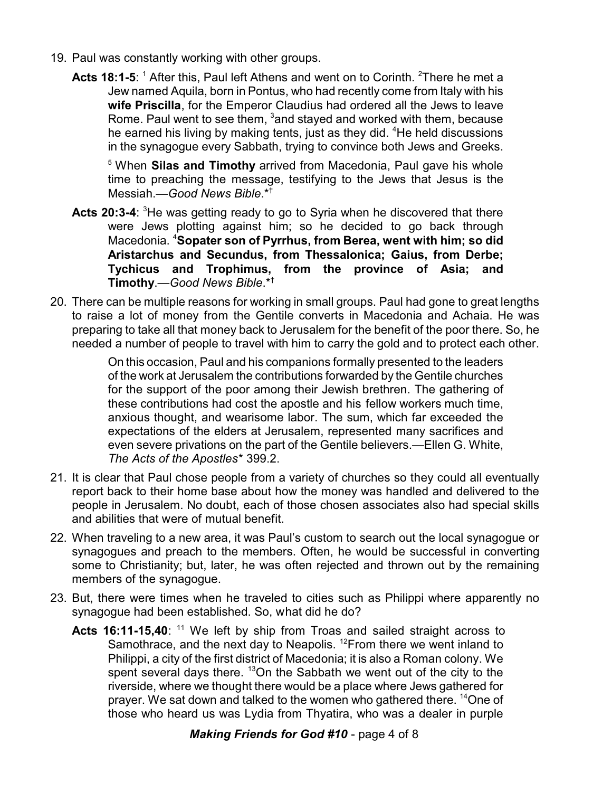- 19. Paul was constantly working with other groups.
	- **Acts 18:1-5**: <sup>1</sup> After this, Paul left Athens and went on to Corinth. <sup>2</sup>There he met a Jew named Aquila, born in Pontus, who had recently come from Italy with his **wife Priscilla**, for the Emperor Claudius had ordered all the Jews to leave Rome. Paul went to see them, <sup>3</sup>and stayed and worked with them, because he earned his living by making tents, just as they did. <sup>4</sup>He held discussions in the synagogue every Sabbath, trying to convince both Jews and Greeks.

5 When **Silas and Timothy** arrived from Macedonia, Paul gave his whole time to preaching the message, testifying to the Jews that Jesus is the Messiah.—*Good News Bible*.\*†

- Acts 20:3-4: <sup>3</sup>He was getting ready to go to Syria when he discovered that there were Jews plotting against him; so he decided to go back through Macedonia. <sup>4</sup>**Sopater son of Pyrrhus, from Berea, went with him; so did Aristarchus and Secundus, from Thessalonica; Gaius, from Derbe; Tychicus and Trophimus, from the province of Asia; and Timothy**.—*Good News Bible*.\*†
- 20. There can be multiple reasons for working in small groups. Paul had gone to great lengths to raise a lot of money from the Gentile converts in Macedonia and Achaia. He was preparing to take all that money back to Jerusalem for the benefit of the poor there. So, he needed a number of people to travel with him to carry the gold and to protect each other.

On this occasion, Paul and his companions formally presented to the leaders of the work at Jerusalem the contributions forwarded by the Gentile churches for the support of the poor among their Jewish brethren. The gathering of these contributions had cost the apostle and his fellow workers much time, anxious thought, and wearisome labor. The sum, which far exceeded the expectations of the elders at Jerusalem, represented many sacrifices and even severe privations on the part of the Gentile believers.—Ellen G. White, *The Acts of the Apostles*\* 399.2.

- 21. It is clear that Paul chose people from a variety of churches so they could all eventually report back to their home base about how the money was handled and delivered to the people in Jerusalem. No doubt, each of those chosen associates also had special skills and abilities that were of mutual benefit.
- 22. When traveling to a new area, it was Paul's custom to search out the local synagogue or synagogues and preach to the members. Often, he would be successful in converting some to Christianity; but, later, he was often rejected and thrown out by the remaining members of the synagogue.
- 23. But, there were times when he traveled to cities such as Philippi where apparently no synagogue had been established. So, what did he do?
	- Acts 16:11-15,40: <sup>11</sup> We left by ship from Troas and sailed straight across to Samothrace, and the next day to Neapolis.  $12$  From there we went inland to Philippi, a city of the first district of Macedonia; it is also a Roman colony. We spent several days there.  $13$ On the Sabbath we went out of the city to the riverside, where we thought there would be a place where Jews gathered for prayer. We sat down and talked to the women who gathered there. <sup>14</sup>One of those who heard us was Lydia from Thyatira, who was a dealer in purple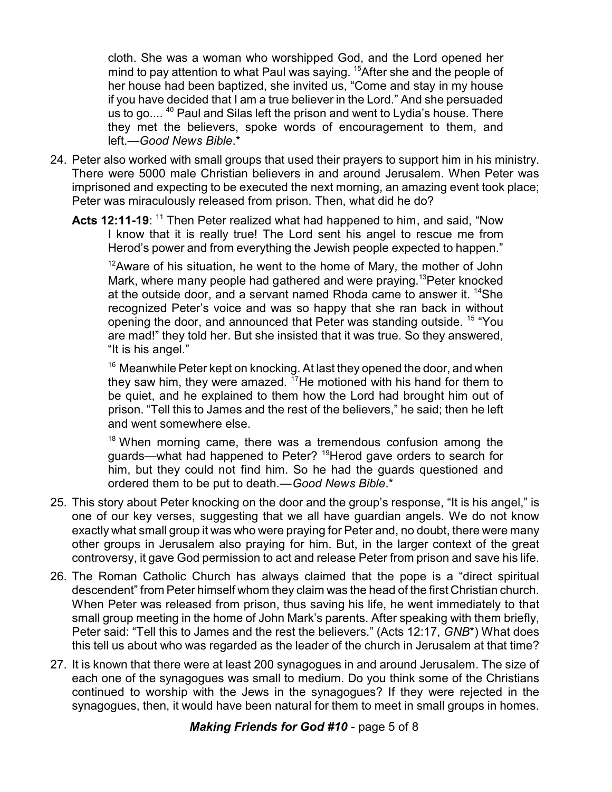cloth. She was a woman who worshipped God, and the Lord opened her mind to pay attention to what Paul was saying. <sup>15</sup>After she and the people of her house had been baptized, she invited us, "Come and stay in my house if you have decided that I am a true believer in the Lord." And she persuaded us to go....<sup>40</sup> Paul and Silas left the prison and went to Lydia's house. There they met the believers, spoke words of encouragement to them, and left.—*Good News Bible*.\*

- 24. Peter also worked with small groups that used their prayers to support him in his ministry. There were 5000 male Christian believers in and around Jerusalem. When Peter was imprisoned and expecting to be executed the next morning, an amazing event took place; Peter was miraculously released from prison. Then, what did he do?
	- Acts 12:11-19: <sup>11</sup> Then Peter realized what had happened to him, and said, "Now I know that it is really true! The Lord sent his angel to rescue me from Herod's power and from everything the Jewish people expected to happen."

 $12$ Aware of his situation, he went to the home of Mary, the mother of John Mark, where many people had gathered and were praying. <sup>13</sup>Peter knocked at the outside door, and a servant named Rhoda came to answer it. <sup>14</sup>She recognized Peter's voice and was so happy that she ran back in without opening the door, and announced that Peter was standing outside. <sup>15</sup> "You are mad!" they told her. But she insisted that it was true. So they answered, "It is his angel."

<sup>16</sup> Meanwhile Peter kept on knocking. At last they opened the door, and when they saw him, they were amazed.  $17$ He motioned with his hand for them to be quiet, and he explained to them how the Lord had brought him out of prison. "Tell this to James and the rest of the believers," he said; then he left and went somewhere else.

<sup>18</sup> When morning came, there was a tremendous confusion among the guards—what had happened to Peter? <sup>19</sup>Herod gave orders to search for him, but they could not find him. So he had the guards questioned and ordered them to be put to death.—*Good News Bible*.\*

- 25. This story about Peter knocking on the door and the group's response, "It is his angel," is one of our key verses, suggesting that we all have guardian angels. We do not know exactly what small group it was who were praying for Peter and, no doubt, there were many other groups in Jerusalem also praying for him. But, in the larger context of the great controversy, it gave God permission to act and release Peter from prison and save his life.
- 26. The Roman Catholic Church has always claimed that the pope is a "direct spiritual descendent" from Peter himself whom they claim was the head of the first Christian church. When Peter was released from prison, thus saving his life, he went immediately to that small group meeting in the home of John Mark's parents. After speaking with them briefly, Peter said: "Tell this to James and the rest the believers." (Acts 12:17, *GNB*\*) What does this tell us about who was regarded as the leader of the church in Jerusalem at that time?
- 27. It is known that there were at least 200 synagogues in and around Jerusalem. The size of each one of the synagogues was small to medium. Do you think some of the Christians continued to worship with the Jews in the synagogues? If they were rejected in the synagogues, then, it would have been natural for them to meet in small groups in homes.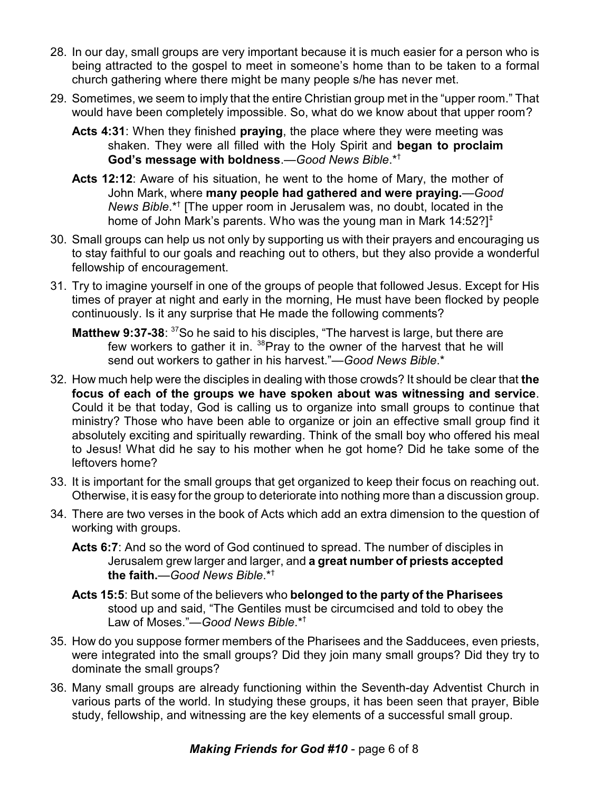- 28. In our day, small groups are very important because it is much easier for a person who is being attracted to the gospel to meet in someone's home than to be taken to a formal church gathering where there might be many people s/he has never met.
- 29. Sometimes, we seem to imply that the entire Christian group met in the "upper room." That would have been completely impossible. So, what do we know about that upper room?
	- **Acts 4:31**: When they finished **praying**, the place where they were meeting was shaken. They were all filled with the Holy Spirit and **began to proclaim God's message with boldness**.—*Good News Bible*.\*†
	- **Acts 12:12**: Aware of his situation, he went to the home of Mary, the mother of John Mark, where **many people had gathered and were praying.**—*Good News Bible*.\*† [The upper room in Jerusalem was, no doubt, located in the home of John Mark's parents. Who was the young man in Mark 14:52?]<sup>‡</sup>
- 30. Small groups can help us not only by supporting us with their prayers and encouraging us to stay faithful to our goals and reaching out to others, but they also provide a wonderful fellowship of encouragement.
- 31. Try to imagine yourself in one of the groups of people that followed Jesus. Except for His times of prayer at night and early in the morning, He must have been flocked by people continuously. Is it any surprise that He made the following comments?
	- **Matthew 9:37-38:** <sup>37</sup>So he said to his disciples, "The harvest is large, but there are few workers to gather it in. <sup>38</sup>Pray to the owner of the harvest that he will send out workers to gather in his harvest."—*Good News Bible*.\*
- 32. How much help were the disciples in dealing with those crowds? It should be clear that **the focus of each of the groups we have spoken about was witnessing and service**. Could it be that today, God is calling us to organize into small groups to continue that ministry? Those who have been able to organize or join an effective small group find it absolutely exciting and spiritually rewarding. Think of the small boy who offered his meal to Jesus! What did he say to his mother when he got home? Did he take some of the leftovers home?
- 33. It is important for the small groups that get organized to keep their focus on reaching out. Otherwise, it is easy for the group to deteriorate into nothing more than a discussion group.
- 34. There are two verses in the book of Acts which add an extra dimension to the question of working with groups.
	- **Acts 6:7**: And so the word of God continued to spread. The number of disciples in Jerusalem grew larger and larger, and **a great number of priests accepted the faith.**—*Good News Bible*.\*†
	- **Acts 15:5**: But some of the believers who **belonged to the party of the Pharisees** stood up and said, "The Gentiles must be circumcised and told to obey the Law of Moses."—*Good News Bible*.\*†
- 35. How do you suppose former members of the Pharisees and the Sadducees, even priests, were integrated into the small groups? Did they join many small groups? Did they try to dominate the small groups?
- 36. Many small groups are already functioning within the Seventh-day Adventist Church in various parts of the world. In studying these groups, it has been seen that prayer, Bible study, fellowship, and witnessing are the key elements of a successful small group.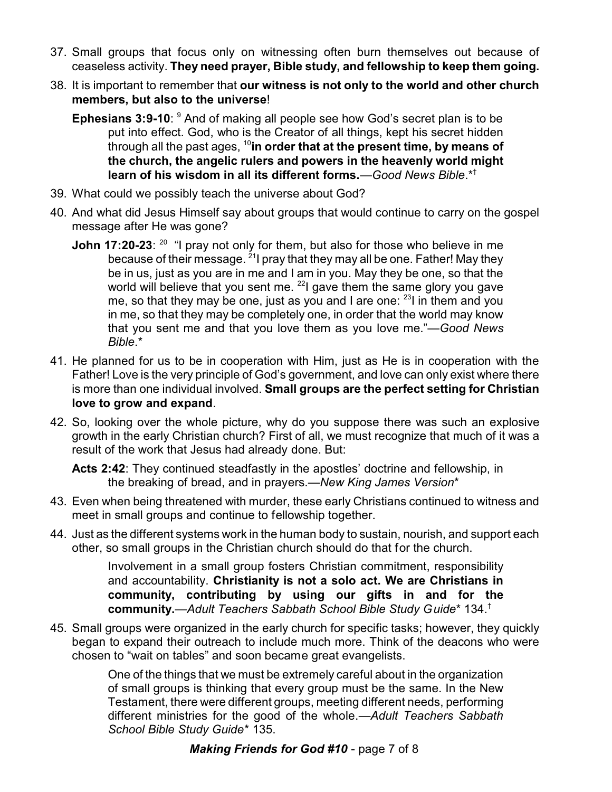- 37. Small groups that focus only on witnessing often burn themselves out because of ceaseless activity. **They need prayer, Bible study, and fellowship to keep them going.**
- 38. It is important to remember that **our witness is not only to the world and other church members, but also to the universe**!
	- **Ephesians 3:9-10:** <sup>9</sup> And of making all people see how God's secret plan is to be put into effect. God, who is the Creator of all things, kept his secret hidden through all the past ages, <sup>10</sup> **in order that at the present time, by means of the church, the angelic rulers and powers in the heavenly world might learn of his wisdom in all its different forms.**—*Good News Bible*.\*†
- 39. What could we possibly teach the universe about God?
- 40. And what did Jesus Himself say about groups that would continue to carry on the gospel message after He was gone?
	- **John 17:20-23**: <sup>20</sup> "I pray not only for them, but also for those who believe in me because of their message. <sup>21</sup>I pray that they may all be one. Father! May they be in us, just as you are in me and I am in you. May they be one, so that the world will believe that you sent me. <sup>22</sup>l gave them the same glory you gave me, so that they may be one, just as you and I are one:  $^{23}$ I in them and you in me, so that they may be completely one, in order that the world may know that you sent me and that you love them as you love me."*—Good News Bible*.\*
- 41. He planned for us to be in cooperation with Him, just as He is in cooperation with the Father! Love is the very principle of God's government, and love can only exist where there is more than one individual involved. **Small groups are the perfect setting for Christian love to grow and expand**.
- 42. So, looking over the whole picture, why do you suppose there was such an explosive growth in the early Christian church? First of all, we must recognize that much of it was a result of the work that Jesus had already done. But:

**Acts 2:42**: They continued steadfastly in the apostles' doctrine and fellowship, in the breaking of bread, and in prayers.*—New King James Version*\*

- 43. Even when being threatened with murder, these early Christians continued to witness and meet in small groups and continue to fellowship together.
- 44. Just as the different systems work in the human body to sustain, nourish, and support each other, so small groups in the Christian church should do that for the church.

Involvement in a small group fosters Christian commitment, responsibility and accountability. **Christianity is not a solo act. We are Christians in community, contributing by using our gifts in and for the community.**—*Adult Teachers Sabbath School Bible Study Guide*\* 134.†

45. Small groups were organized in the early church for specific tasks; however, they quickly began to expand their outreach to include much more. Think of the deacons who were chosen to "wait on tables" and soon became great evangelists.

> One of the things that we must be extremely careful about in the organization of small groups is thinking that every group must be the same. In the New Testament, there were different groups, meeting different needs, performing different ministries for the good of the whole.—*Adult Teachers Sabbath School Bible Study Guide*\* 135.